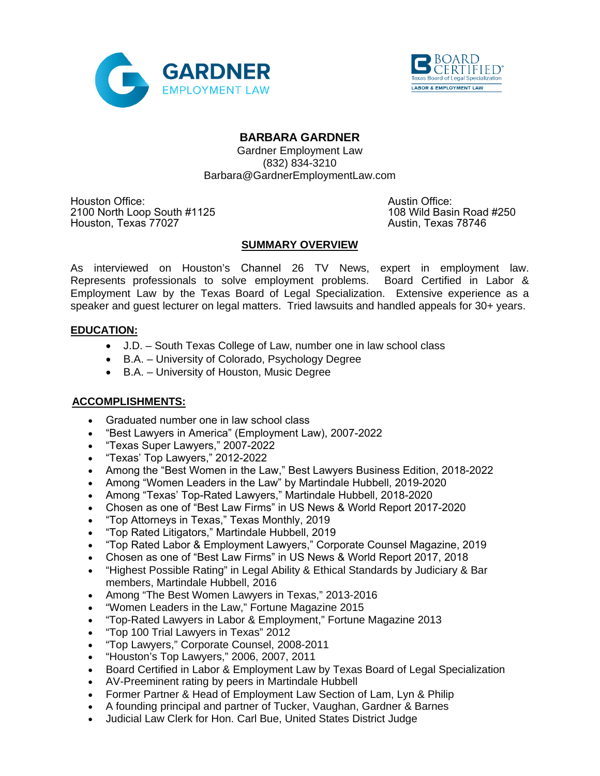



# **BARBARA GARDNER**

Gardner Employment Law (832) 834-3210 Barbara@GardnerEmploymentLaw.com

Houston Office:<br>
2100 North Loop South #1125 **Austin Office:** Austin Office:<br>
2100 North Loop South #1125 **Austin Communist Communist Communist Communist Communist Communist Communist Comm** 2100 North Loop South #1125<br>108 Wild Basin Road #25027<br>2100 Austin, Texas 78746 Houston, Texas 77027

## **SUMMARY OVERVIEW**

As interviewed on Houston's Channel 26 TV News, expert in employment law. Represents professionals to solve employment problems. Board Certified in Labor & Employment Law by the Texas Board of Legal Specialization. Extensive experience as a speaker and guest lecturer on legal matters. Tried lawsuits and handled appeals for 30+ years.

# **EDUCATION:**

- J.D. South Texas College of Law, number one in law school class
- B.A. University of Colorado, Psychology Degree
- B.A. University of Houston, Music Degree

## **ACCOMPLISHMENTS:**

- Graduated number one in law school class
- "Best Lawyers in America" (Employment Law), 2007-2022
- "Texas Super Lawyers," 2007-2022
- "Texas' Top Lawyers," 2012-2022
- Among the "Best Women in the Law," Best Lawyers Business Edition, 2018-2022
- Among "Women Leaders in the Law" by Martindale Hubbell, 2019-2020
- Among "Texas' Top-Rated Lawyers," Martindale Hubbell, 2018-2020
- Chosen as one of "Best Law Firms" in US News & World Report 2017-2020
- "Top Attorneys in Texas," Texas Monthly, 2019
- "Top Rated Litigators," Martindale Hubbell, 2019
- "Top Rated Labor & Employment Lawyers," Corporate Counsel Magazine, 2019
- Chosen as one of "Best Law Firms" in US News & World Report 2017, 2018
- "Highest Possible Rating" in Legal Ability & Ethical Standards by Judiciary & Bar members, Martindale Hubbell, 2016
- Among "The Best Women Lawyers in Texas," 2013-2016
- "Women Leaders in the Law," Fortune Magazine 2015
- "Top-Rated Lawyers in Labor & Employment," Fortune Magazine 2013
- "Top 100 Trial Lawyers in Texas" 2012
- "Top Lawyers," Corporate Counsel, 2008-2011
- "Houston's Top Lawyers," 2006, 2007, 2011
- Board Certified in Labor & Employment Law by Texas Board of Legal Specialization
- AV-Preeminent rating by peers in Martindale Hubbell
- Former Partner & Head of Employment Law Section of Lam, Lyn & Philip
- A founding principal and partner of Tucker, Vaughan, Gardner & Barnes
- Judicial Law Clerk for Hon. Carl Bue, United States District Judge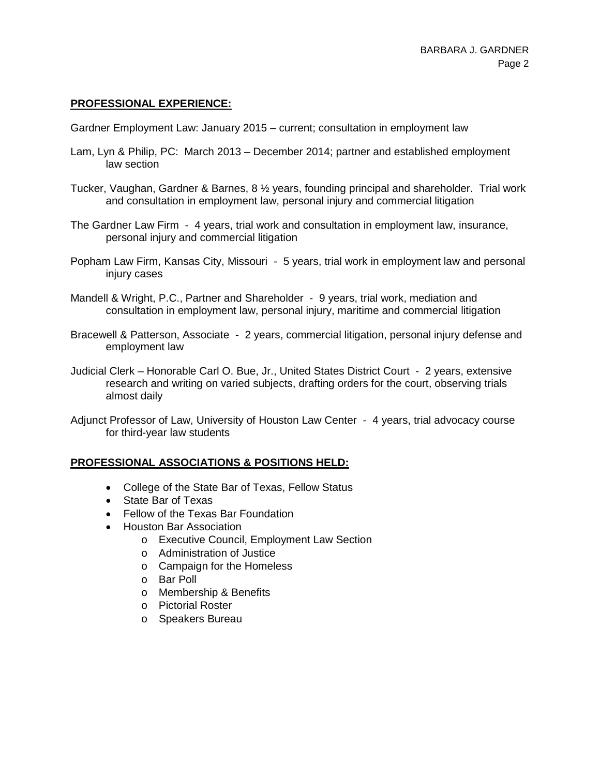## **PROFESSIONAL EXPERIENCE:**

Gardner Employment Law: January 2015 – current; consultation in employment law

- Lam, Lyn & Philip, PC: March 2013 December 2014; partner and established employment law section
- Tucker, Vaughan, Gardner & Barnes, 8 ½ years, founding principal and shareholder. Trial work and consultation in employment law, personal injury and commercial litigation
- The Gardner Law Firm 4 years, trial work and consultation in employment law, insurance, personal injury and commercial litigation
- Popham Law Firm, Kansas City, Missouri 5 years, trial work in employment law and personal injury cases
- Mandell & Wright, P.C., Partner and Shareholder 9 years, trial work, mediation and consultation in employment law, personal injury, maritime and commercial litigation
- Bracewell & Patterson, Associate 2 years, commercial litigation, personal injury defense and employment law
- Judicial Clerk Honorable Carl O. Bue, Jr., United States District Court 2 years, extensive research and writing on varied subjects, drafting orders for the court, observing trials almost daily
- Adjunct Professor of Law, University of Houston Law Center 4 years, trial advocacy course for third-year law students

#### **PROFESSIONAL ASSOCIATIONS & POSITIONS HELD:**

- College of the State Bar of Texas, Fellow Status
- State Bar of Texas
- Fellow of the Texas Bar Foundation
- Houston Bar Association
	- o Executive Council, Employment Law Section
	- o Administration of Justice
	- o Campaign for the Homeless
	- o Bar Poll
	- o Membership & Benefits
	- o Pictorial Roster
	- o Speakers Bureau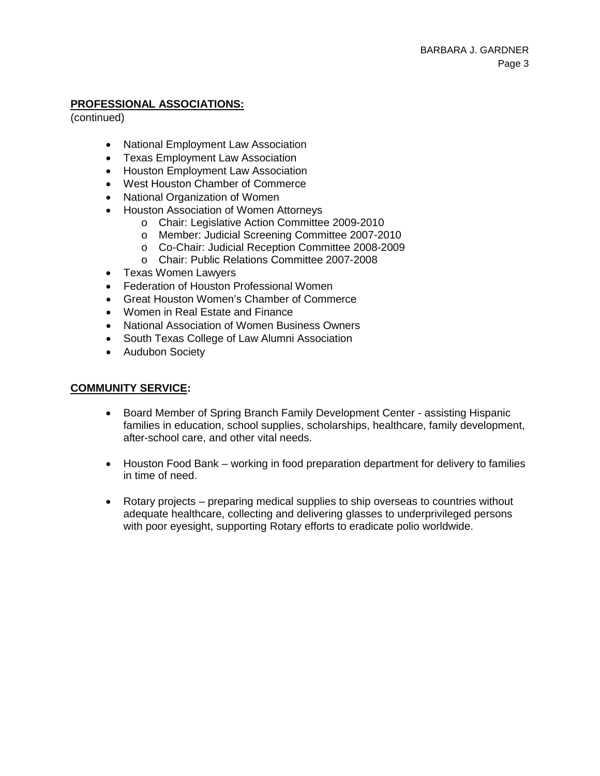## **PROFESSIONAL ASSOCIATIONS:**

(continued)

- National Employment Law Association
- Texas Employment Law Association
- Houston Employment Law Association
- West Houston Chamber of Commerce
- National Organization of Women
- Houston Association of Women Attorneys
	- o Chair: Legislative Action Committee 2009-2010
	- o Member: Judicial Screening Committee 2007-2010
	- o Co-Chair: Judicial Reception Committee 2008-2009
	- o Chair: Public Relations Committee 2007-2008
- Texas Women Lawyers
- Federation of Houston Professional Women
- Great Houston Women's Chamber of Commerce
- Women in Real Estate and Finance
- National Association of Women Business Owners
- South Texas College of Law Alumni Association
- Audubon Society

## **COMMUNITY SERVICE:**

- Board Member of Spring Branch Family Development Center assisting Hispanic families in education, school supplies, scholarships, healthcare, family development, after-school care, and other vital needs.
- Houston Food Bank working in food preparation department for delivery to families in time of need.
- Rotary projects preparing medical supplies to ship overseas to countries without adequate healthcare, collecting and delivering glasses to underprivileged persons with poor eyesight, supporting Rotary efforts to eradicate polio worldwide.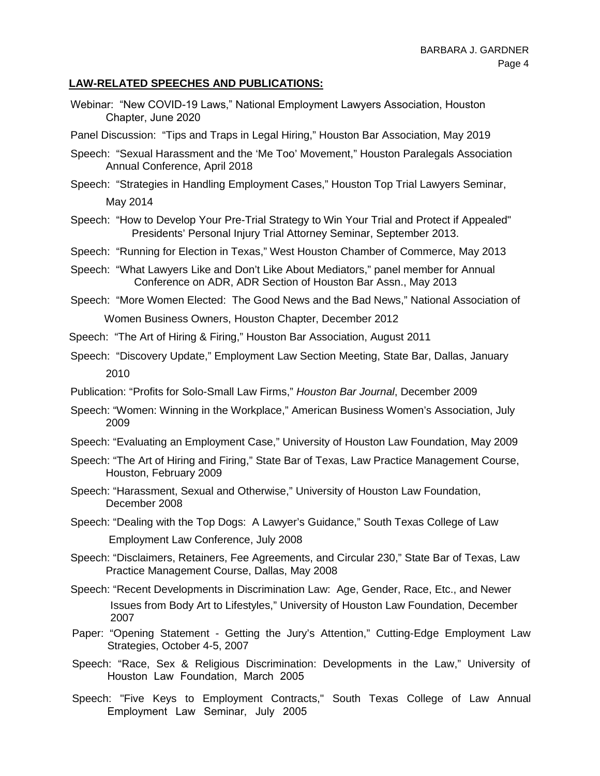## **LAW-RELATED SPEECHES AND PUBLICATIONS:**

- Webinar: "New COVID-19 Laws," National Employment Lawyers Association, Houston Chapter, June 2020
- Panel Discussion: "Tips and Traps in Legal Hiring," Houston Bar Association, May 2019
- Speech: "Sexual Harassment and the 'Me Too' Movement," Houston Paralegals Association Annual Conference, April 2018
- Speech: "Strategies in Handling Employment Cases," Houston Top Trial Lawyers Seminar, May 2014
- Speech: "How to Develop Your Pre-Trial Strategy to Win Your Trial and Protect if Appealed" Presidents' Personal Injury Trial Attorney Seminar, September 2013.
- Speech: "Running for Election in Texas," West Houston Chamber of Commerce, May 2013
- Speech: "What Lawyers Like and Don't Like About Mediators," panel member for Annual Conference on ADR, ADR Section of Houston Bar Assn., May 2013
- Speech: "More Women Elected: The Good News and the Bad News," National Association of Women Business Owners, Houston Chapter, December 2012

Speech: "The Art of Hiring & Firing," Houston Bar Association, August 2011

- Speech: "Discovery Update," Employment Law Section Meeting, State Bar, Dallas, January 2010
- Publication: "Profits for Solo-Small Law Firms," *Houston Bar Journal*, December 2009
- Speech: "Women: Winning in the Workplace," American Business Women's Association, July 2009
- Speech: "Evaluating an Employment Case," University of Houston Law Foundation, May 2009
- Speech: "The Art of Hiring and Firing," State Bar of Texas, Law Practice Management Course, Houston, February 2009
- Speech: "Harassment, Sexual and Otherwise," University of Houston Law Foundation, December 2008
- Speech: "Dealing with the Top Dogs: A Lawyer's Guidance," South Texas College of Law Employment Law Conference, July 2008
- Speech: "Disclaimers, Retainers, Fee Agreements, and Circular 230," State Bar of Texas, Law Practice Management Course, Dallas, May 2008
- Speech: "Recent Developments in Discrimination Law: Age, Gender, Race, Etc., and Newer Issues from Body Art to Lifestyles," University of Houston Law Foundation, December 2007
- Paper: "Opening Statement Getting the Jury's Attention," Cutting-Edge Employment Law Strategies, October 4-5, 2007
- Speech: "Race, Sex & Religious Discrimination: Developments in the Law," University of Houston Law Foundation, March 2005
- Speech: "Five Keys to Employment Contracts," South Texas College of Law Annual Employment Law Seminar, July 2005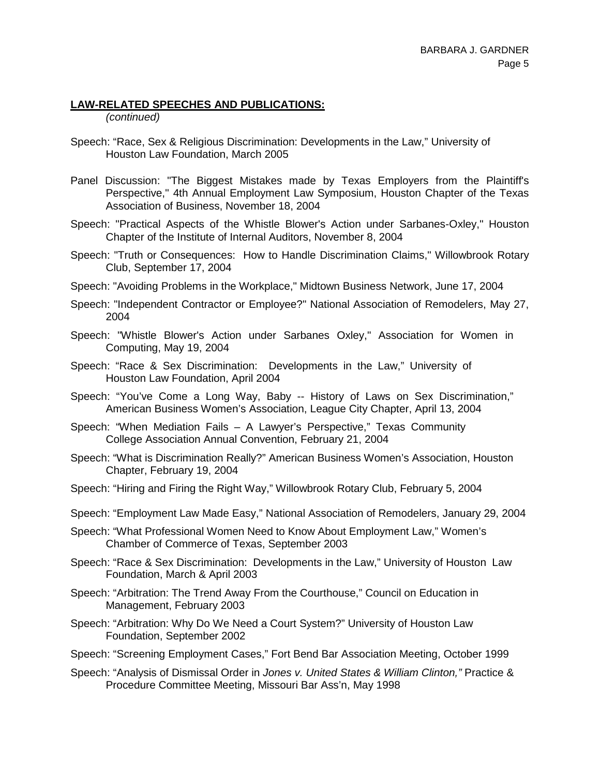#### **LAW-RELATED SPEECHES AND PUBLICATIONS:**

*(continued)*

- Speech: "Race, Sex & Religious Discrimination: Developments in the Law," University of Houston Law Foundation, March 2005
- Panel Discussion: "The Biggest Mistakes made by Texas Employers from the Plaintiff's Perspective," 4th Annual Employment Law Symposium, Houston Chapter of the Texas Association of Business, November 18, 2004
- Speech: "Practical Aspects of the Whistle Blower's Action under Sarbanes-Oxley," Houston Chapter of the Institute of Internal Auditors, November 8, 2004
- Speech: "Truth or Consequences: How to Handle Discrimination Claims," Willowbrook Rotary Club, September 17, 2004
- Speech: "Avoiding Problems in the Workplace," Midtown Business Network, June 17, 2004
- Speech: "Independent Contractor or Employee?" National Association of Remodelers, May 27, 2004
- Speech: "Whistle Blower's Action under Sarbanes Oxley," Association for Women in Computing, May 19, 2004
- Speech: "Race & Sex Discrimination: Developments in the Law," University of Houston Law Foundation, April 2004
- Speech: "You've Come a Long Way, Baby -- History of Laws on Sex Discrimination," American Business Women's Association, League City Chapter, April 13, 2004
- Speech: "When Mediation Fails A Lawyer's Perspective," Texas Community College Association Annual Convention, February 21, 2004
- Speech: "What is Discrimination Really?" American Business Women's Association, Houston Chapter, February 19, 2004
- Speech: "Hiring and Firing the Right Way," Willowbrook Rotary Club, February 5, 2004
- Speech: "Employment Law Made Easy," National Association of Remodelers, January 29, 2004
- Speech: "What Professional Women Need to Know About Employment Law," Women's Chamber of Commerce of Texas, September 2003
- Speech: "Race & Sex Discrimination: Developments in the Law," University of Houston Law Foundation, March & April 2003
- Speech: "Arbitration: The Trend Away From the Courthouse," Council on Education in Management, February 2003
- Speech: "Arbitration: Why Do We Need a Court System?" University of Houston Law Foundation, September 2002
- Speech: "Screening Employment Cases," Fort Bend Bar Association Meeting, October 1999
- Speech: "Analysis of Dismissal Order in *Jones v. United States & William Clinton,"* Practice & Procedure Committee Meeting, Missouri Bar Ass'n, May 1998